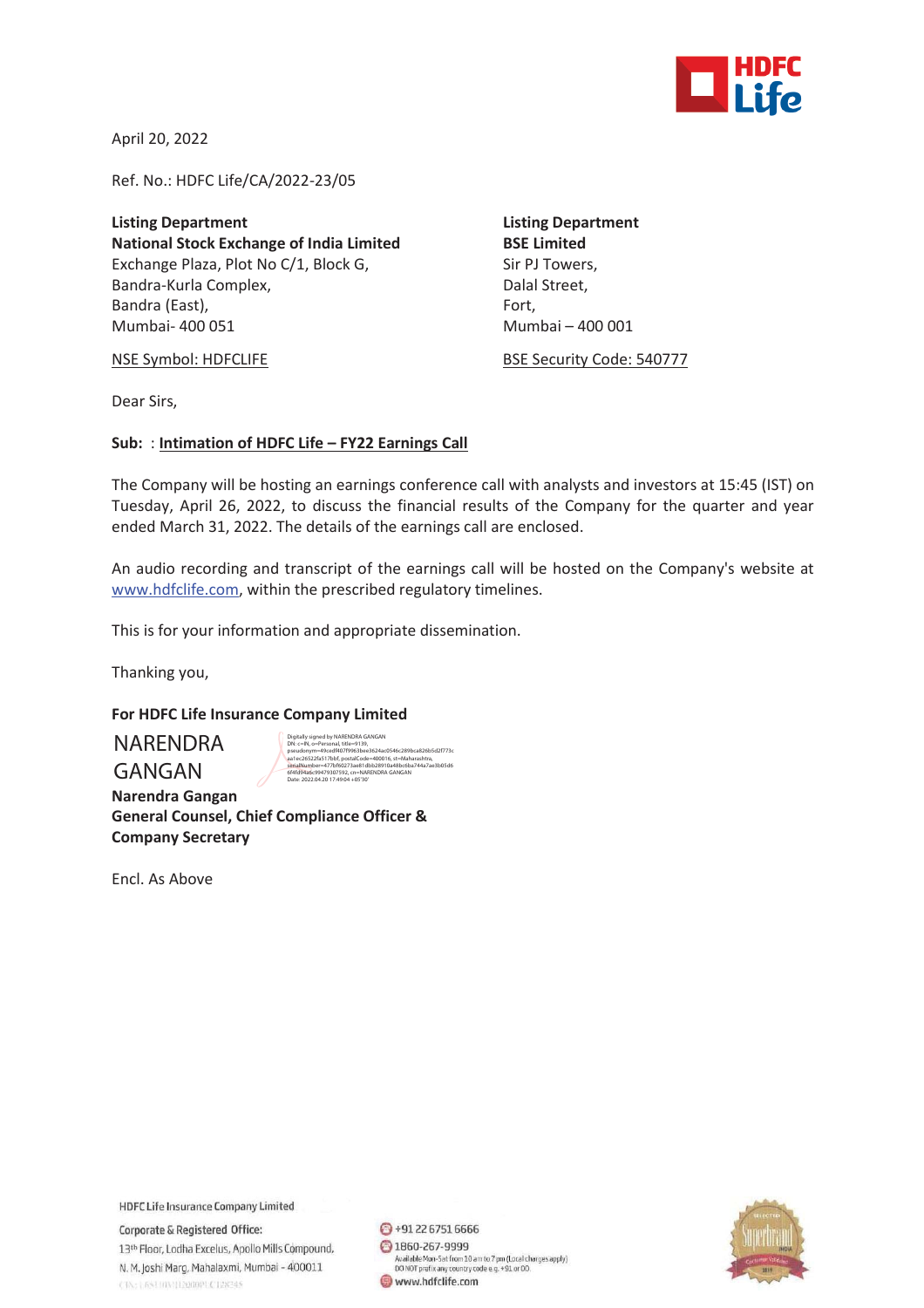

April 20, 2022

Ref. No.: HDFC Life/CA/2022-23/05

**Listing Department Listing Department National Stock Exchange of India Limited BSE Limited**  Exchange Plaza, Plot No C/1, Block G, Sir PJ Towers, Bandra-Kurla Complex, and a complexed bandra-Kurla Complex, Bandra (East), Fort, Fort, Fort, Fort, Fort, Fort, Fort, Fort, Fort, Fort, Fort, Fort, Fort, Fort, Fort, Fort, Mumbai- 400 051 Mumbai – 400 001

NSE Symbol: HDFCLIFE BSE Security Code: 540777

Dear Sirs,

### **Sub:** : **Intimation of HDFC Life – FY22 Earnings Call**

The Company will be hosting an earnings conference call with analysts and investors at 15:45 (IST) on Tuesday, April 26, 2022, to discuss the financial results of the Company for the quarter and year ended March 31, 2022. The details of the earnings call are enclosed.

An audio recording and transcript of the earnings call will be hosted on the Company's website at www.hdfclife.com, within the prescribed regulatory timelines.

This is for your information and appropriate dissemination.

Thanking you,

## **For HDFC Life Insurance Company Limited**

NARENDRA GANGAN

Digitally signed by NARENDPA GANGAN<br>Ditc - Illy agreed by NARENDPA GANGAN<br>pseudorym=49ced4607f9963bee3624ac0546c289bca826b5d2f773c<br>aa lecZ652Zfa517bbf, postalCode=400016, st=Maharashtra,<br>serialWumber=477bf60273ae81dbb28910

**Narendra Gangan General Counsel, Chief Compliance Officer & Company Secretary** 

Encl. As Above

**HDFC Life Insurance Company Limited** 

Corporate & Registered Office: 13<sup>th</sup> Floor, Lodha Excelus, Apollo Mills Compound, N. M. Joshi Marg, Mahalaxmi, Mumbai - 400011 CIN: L65110VH2000PLC128345

→91 22 6751 6666 2 1860-267-9999 Available Mon-Sat from 10 am to 7 pm (Local charges apply)<br>DO NOT prefix any country code e.g. +91 or 00. www.hdfclife.com